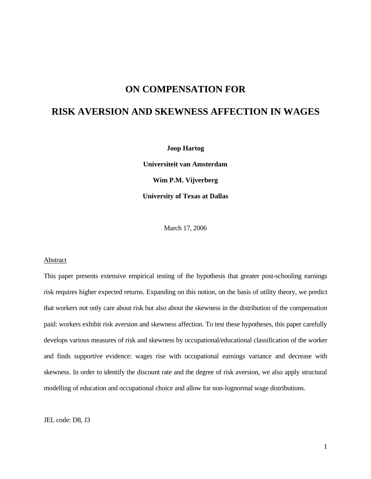## **ON COMPENSATION FOR**

# **RISK AVERSION AND SKEWNESS AFFECTION IN WAGES**

**Joop Hartog**

**Universiteit van Amsterdam Wim P.M. Vijverberg University of Texas at Dallas**

March 17, 2006

#### Abstract

This paper presents extensive empirical testing of the hypothesis that greater post-schooling earnings risk requires higher expected returns. Expanding on this notion, on the basis of utility theory, we predict that workers not only care about risk but also about the skewness in the distribution of the compensation paid: workers exhibit risk aversion and skewness affection. To test these hypotheses, this paper carefully develops various measures of risk and skewness by occupational/educational classification of the worker and finds supportive evidence: wages rise with occupational earnings variance and decrease with skewness. In order to identify the discount rate and the degree of risk aversion, we also apply structural modelling of education and occupational choice and allow for non-lognormal wage distributions.

JEL code: D8, J3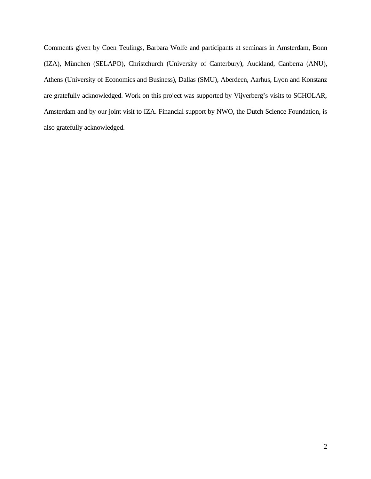Comments given by Coen Teulings, Barbara Wolfe and participants at seminars in Amsterdam, Bonn (IZA), München (SELAPO), Christchurch (University of Canterbury), Auckland, Canberra (ANU), Athens (University of Economics and Business), Dallas (SMU), Aberdeen, Aarhus, Lyon and Konstanz are gratefully acknowledged. Work on this project was supported by Vijverberg's visits to SCHOLAR, Amsterdam and by our joint visit to IZA. Financial support by NWO, the Dutch Science Foundation, is also gratefully acknowledged.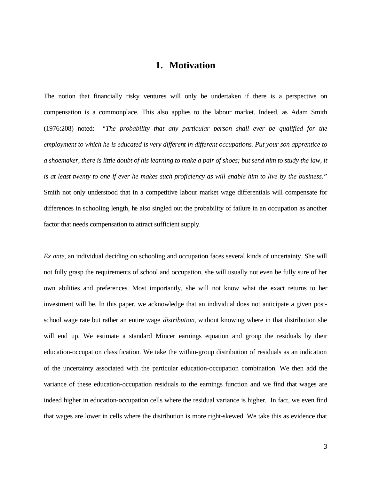# **1. Motivation**

The notion that financially risky ventures will only be undertaken if there is a perspective on compensation is a commonplace. This also applies to the labour market. Indeed, as Adam Smith (1976:208) noted: "*The probability that any particular person shall ever be qualified for the employment to which he is educated is very different in different occupations. Put your son apprentice to a shoemaker, there is little doubt of his learning to make a pair of shoes; but send him to study the law, it is at least twenty to one if ever he makes such proficiency as will enable him to live by the business."* Smith not only understood that in a competitive labour market wage differentials will compensate for differences in schooling length, he also singled out the probability of failure in an occupation as another factor that needs compensation to attract sufficient supply.

*Ex ante*, an individual deciding on schooling and occupation faces several kinds of uncertainty. She will not fully grasp the requirements of school and occupation, she will usually not even be fully sure of her own abilities and preferences. Most importantly, she will not know what the exact returns to her investment will be. In this paper, we acknowledge that an individual does not anticipate a given postschool wage rate but rather an entire wage *distribution*, without knowing where in that distribution she will end up. We estimate a standard Mincer earnings equation and group the residuals by their education-occupation classification. We take the within-group distribution of residuals as an indication of the uncertainty associated with the particular education-occupation combination. We then add the variance of these education-occupation residuals to the earnings function and we find that wages are indeed higher in education-occupation cells where the residual variance is higher. In fact, we even find that wages are lower in cells where the distribution is more right-skewed. We take this as evidence that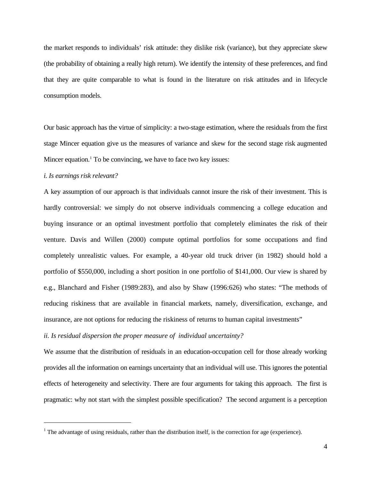the market responds to individuals' risk attitude: they dislike risk (variance), but they appreciate skew (the probability of obtaining a really high return). We identify the intensity of these preferences, and find that they are quite comparable to what is found in the literature on risk attitudes and in lifecycle consumption models.

Our basic approach has the virtue of simplicity: a two-stage estimation, where the residuals from the first stage Mincer equation give us the measures of variance and skew for the second stage risk augmented Mincer equation.<sup>1</sup> To be convincing, we have to face two key issues:

#### *i. Is earnings risk relevant?*

 $\overline{a}$ 

A key assumption of our approach is that individuals cannot insure the risk of their investment. This is hardly controversial: we simply do not observe individuals commencing a college education and buying insurance or an optimal investment portfolio that completely eliminates the risk of their venture. Davis and Willen (2000) compute optimal portfolios for some occupations and find completely unrealistic values. For example, a 40-year old truck driver (in 1982) should hold a portfolio of \$550,000, including a short position in one portfolio of \$141,000. Our view is shared by e.g., Blanchard and Fisher (1989:283), and also by Shaw (1996:626) who states: "The methods of reducing riskiness that are available in financial markets, namely, diversification, exchange, and insurance, are not options for reducing the riskiness of returns to human capital investments"

### *ii. Is residual dispersion the proper measure of individual uncertainty?*

We assume that the distribution of residuals in an education-occupation cell for those already working provides all the information on earnings uncertainty that an individual will use. This ignores the potential effects of heterogeneity and selectivity. There are four arguments for taking this approach. The first is pragmatic: why not start with the simplest possible specification? The second argument is a perception

 $<sup>1</sup>$  The advantage of using residuals, rather than the distribution itself, is the correction for age (experience).</sup>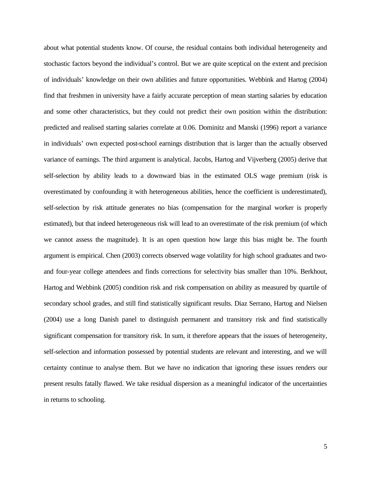about what potential students know. Of course, the residual contains both individual heterogeneity and stochastic factors beyond the individual's control. But we are quite sceptical on the extent and precision of individuals' knowledge on their own abilities and future opportunities. Webbink and Hartog (2004) find that freshmen in university have a fairly accurate perception of mean starting salaries by education and some other characteristics, but they could not predict their own position within the distribution: predicted and realised starting salaries correlate at 0.06. Dominitz and Manski (1996) report a variance in individuals' own expected post-school earnings distribution that is larger than the actually observed variance of earnings. The third argument is analytical. Jacobs, Hartog and Vijverberg (2005) derive that self-selection by ability leads to a downward bias in the estimated OLS wage premium (risk is overestimated by confounding it with heterogeneous abilities, hence the coefficient is underestimated), self-selection by risk attitude generates no bias (compensation for the marginal worker is properly estimated), but that indeed heterogeneous risk will lead to an overestimate of the risk premium (of which we cannot assess the magnitude). It is an open question how large this bias might be. The fourth argument is empirical. Chen (2003) corrects observed wage volatility for high school graduates and twoand four-year college attendees and finds corrections for selectivity bias smaller than 10%. Berkhout, Hartog and Webbink (2005) condition risk and risk compensation on ability as measured by quartile of secondary school grades, and still find statistically significant results. Diaz Serrano, Hartog and Nielsen (2004) use a long Danish panel to distinguish permanent and transitory risk and find statistically significant compensation for transitory risk. In sum, it therefore appears that the issues of heterogeneity, self-selection and information possessed by potential students are relevant and interesting, and we will certainty continue to analyse them. But we have no indication that ignoring these issues renders our present results fatally flawed. We take residual dispersion as a meaningful indicator of the uncertainties in returns to schooling.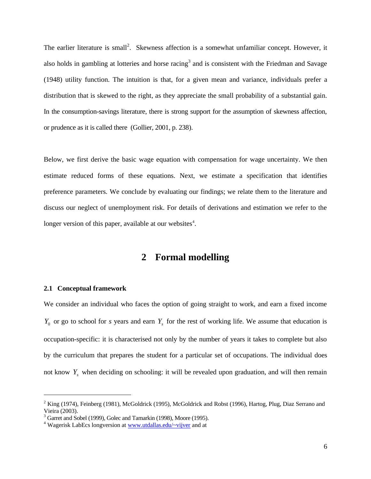The earlier literature is small<sup>2</sup>. Skewness affection is a somewhat unfamiliar concept. However, it also holds in gambling at lotteries and horse racing<sup>3</sup> and is consistent with the Friedman and Savage (1948) utility function. The intuition is that, for a given mean and variance, individuals prefer a distribution that is skewed to the right, as they appreciate the small probability of a substantial gain. In the consumption-savings literature, there is strong support for the assumption of skewness affection, or prudence as it is called there (Gollier, 2001, p. 238).

Below, we first derive the basic wage equation with compensation for wage uncertainty. We then estimate reduced forms of these equations. Next, we estimate a specification that identifies preference parameters. We conclude by evaluating our findings; we relate them to the literature and discuss our neglect of unemployment risk. For details of derivations and estimation we refer to the longer version of this paper, available at our websites<sup>4</sup>.

## **2 Formal modelling**

#### **2.1 Conceptual framework**

-

We consider an individual who faces the option of going straight to work, and earn a fixed income  $Y_0$  or go to school for *s* years and earn  $Y_s$  for the rest of working life. We assume that education is occupation-specific: it is characterised not only by the number of years it takes to complete but also by the curriculum that prepares the student for a particular set of occupations. The individual does not know *Y<sup>s</sup>* when deciding on schooling: it will be revealed upon graduation, and will then remain

 $2$  King (1974), Feinberg (1981), McGoldrick (1995), McGoldrick and Robst (1996), Hartog, Plug, Diaz Serrano and Vieira (2003).

<sup>&</sup>lt;sup>3</sup> Garret and Sobel (1999), Golec and Tamarkin (1998), Moore (1995).

<sup>&</sup>lt;sup>4</sup> Wagerisk LabEcs longversion at www.utdallas.edu/~vijver and at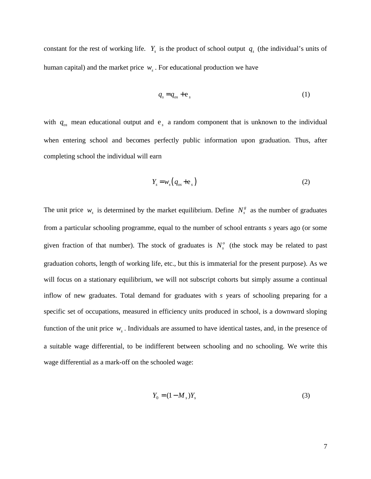constant for the rest of working life.  $Y_s$  is the product of school output  $q_s$  (the individual's units of human capital) and the market price  $w<sub>s</sub>$ . For educational production we have

$$
q_s = q_{os} + e_s \tag{1}
$$

with  $q_{os}$  mean educational output and  $e_s$  a random component that is unknown to the individual when entering school and becomes perfectly public information upon graduation. Thus, after completing school the individual will earn

$$
Y_s = w_s \left( q_{os} + \mathbf{e}_s \right) \tag{2}
$$

The unit price  $w_s$  is determined by the market equilibrium. Define  $N_s^g$  as the number of graduates from a particular schooling programme, equal to the number of school entrants *s* years ago (or some given fraction of that number). The stock of graduates is  $N_s^o$  (the stock may be related to past graduation cohorts, length of working life, etc., but this is immaterial for the present purpose). As we will focus on a stationary equilibrium, we will not subscript cohorts but simply assume a continual inflow of new graduates. Total demand for graduates with *s* years of schooling preparing for a specific set of occupations, measured in efficiency units produced in school, is a downward sloping function of the unit price *w<sup>s</sup>* . Individuals are assumed to have identical tastes, and, in the presence of a suitable wage differential, to be indifferent between schooling and no schooling. We write this wage differential as a mark-off on the schooled wage:

$$
Y_0 = (1 - M_s)Y_s \tag{3}
$$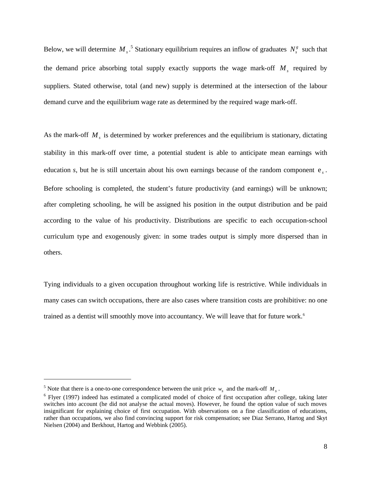Below, we will determine  $M_s$ .<sup>5</sup> Stationary equilibrium requires an inflow of graduates  $N_s^g$  such that the demand price absorbing total supply exactly supports the wage mark-off *M<sup>s</sup>* required by suppliers. Stated otherwise, total (and new) supply is determined at the intersection of the labour demand curve and the equilibrium wage rate as determined by the required wage mark-off.

As the mark-off *M<sup>s</sup>* is determined by worker preferences and the equilibrium is stationary, dictating stability in this mark-off over time, a potential student is able to anticipate mean earnings with education *s*, but he is still uncertain about his own earnings because of the random component  $e_s$ . Before schooling is completed, the student's future productivity (and earnings) will be unknown; after completing schooling, he will be assigned his position in the output distribution and be paid according to the value of his productivity. Distributions are specific to each occupation-school curriculum type and exogenously given: in some trades output is simply more dispersed than in others.

Tying individuals to a given occupation throughout working life is restrictive. While individuals in many cases can switch occupations, there are also cases where transition costs are prohibitive: no one trained as a dentist will smoothly move into accountancy. We will leave that for future work.<sup>6</sup>

<sup>&</sup>lt;sup>5</sup> Note that there is a one-to-one correspondence between the unit price  $w_s$  and the mark-off  $M_s$ .

<sup>&</sup>lt;sup>6</sup> Flyer (1997) indeed has estimated a complicated model of choice of first occupation after college, taking later switches into account (he did not analyse the actual moves). However, he found the option value of such moves insignificant for explaining choice of first occupation. With observations on a fine classification of educations, rather than occupations, we also find convincing support for risk compensation; see Diaz Serrano, Hartog and Skyt Nielsen (2004) and Berkhout, Hartog and Webbink (2005).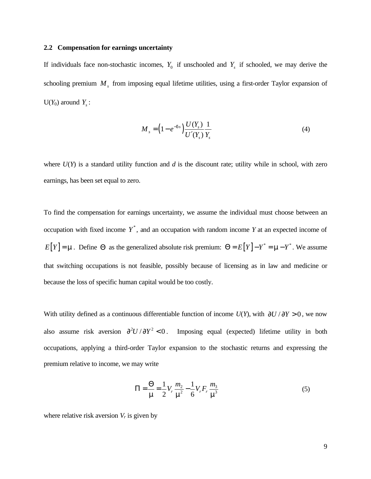#### **2.2 Compensation for earnings uncertainty**

If individuals face non-stochastic incomes,  $Y_0$  if unschooled and  $Y_s$  if schooled, we may derive the schooling premium  $M<sub>s</sub>$  from imposing equal lifetime utilities, using a first-order Taylor expansion of  $U(Y_0)$  around  $Y_s$ :

$$
M_{s} = \left(1 - e^{-ds}\right) \frac{U(Y_{s})}{U'(Y_{s})} \frac{1}{Y_{s}}
$$
(4)

where *U*(*Y*) is a standard utility function and *d* is the discount rate; utility while in school, with zero earnings, has been set equal to zero.

To find the compensation for earnings uncertainty, we assume the individual must choose between an occupation with fixed income  $Y^*$ , and an occupation with random income  $Y$  at an expected income of  $E[Y] = \mathbf{m}$ . Define  $\Theta$  as the generalized absolute risk premium:  $\Theta = E[Y] - Y^* = \mathbf{m} - Y^*$ . We assume that switching occupations is not feasible, possibly because of licensing as in law and medicine or because the loss of specific human capital would be too costly.

With utility defined as a continuous differentiable function of income  $U(Y)$ , with  $\partial U / \partial Y > 0$ , we now also assume risk aversion  $\frac{\partial^2 U}{\partial Y^2} < 0$ . Imposing equal (expected) lifetime utility in both occupations, applying a third-order Taylor expansion to the stochastic returns and expressing the premium relative to income, we may write

$$
\Pi = \frac{\Theta}{m} = \frac{1}{2} V_r \frac{m_2}{m^2} - \frac{1}{6} V_r F_r \frac{m_3}{m^3}
$$
(5)

where relative risk aversion  $V_r$  is given by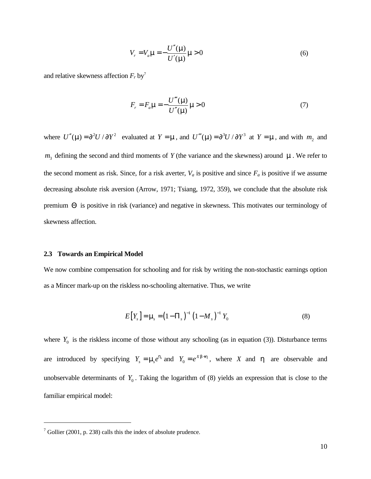$$
V_r = V_a \mathbf{m} = -\frac{U''(\mathbf{m})}{U'(\mathbf{m})}\mathbf{m} > 0
$$
\n<sup>(6)</sup>

and relative skewness affection  $F_r$  by<sup>7</sup>

$$
F_r = F_a \mathbf{m} = -\frac{U''(\mathbf{m})}{U''(\mathbf{m})} \mathbf{m} > 0
$$
\n<sup>(7)</sup>

where  $U''(\mathbf{m}) = \partial^2 U / \partial Y^2$  evaluated at  $Y = \mathbf{m}$ , and  $U'''(\mathbf{m}) = \partial^3 U / \partial Y^3$  at  $Y = \mathbf{m}$ , and with  $m_2$  and  $m<sub>3</sub>$  defining the second and third moments of *Y* (the variance and the skewness) around  $m$ . We refer to the second moment as risk. Since, for a risk averter,  $V_a$  is positive and since  $F_a$  is positive if we assume decreasing absolute risk aversion (Arrow, 1971; Tsiang, 1972, 359), we conclude that the absolute risk premium Θ is positive in risk (variance) and negative in skewness. This motivates our terminology of skewness affection.

#### **2.3 Towards an Empirical Model**

We now combine compensation for schooling and for risk by writing the non-stochastic earnings option as a Mincer mark-up on the riskless no-schooling alternative. Thus, we write

$$
E[Y_{s}] = \mathbf{m}_{s} = (1 - \Pi_{s})^{-1} (1 - M_{s})^{-1} Y_{0}
$$
\n(8)

where  $Y_0$  is the riskless income of those without any schooling (as in equation (3)). Disturbance terms are introduced by specifying  $Y_s = m_s e^{h_s}$  and  $Y_0 = e^{Xb+h}$ , where *X* and *h* are observable and unobservable determinants of  $Y_0$ . Taking the logarithm of (8) yields an expression that is close to the familiar empirical model:

 $^7$  Gollier (2001, p. 238) calls this the index of absolute prudence.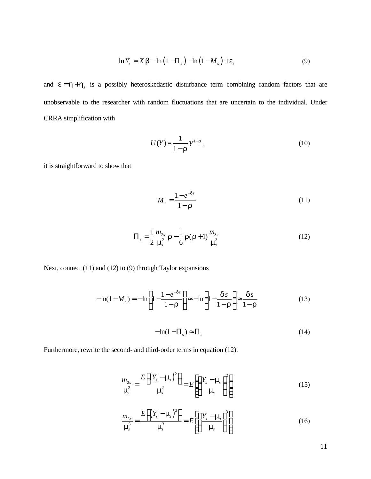$$
\ln Y_s = X \mathbf{b} - \ln(1 - \Pi_s) - \ln(1 - M_s) + \mathbf{e}_s \tag{9}
$$

and  $e = h + h<sub>s</sub>$  is a possibly heteroskedastic disturbance term combining random factors that are unobservable to the researcher with random fluctuations that are uncertain to the individual. Under CRRA simplification with

$$
U(Y) = \frac{1}{1 - \mathbf{r}} Y^{1 - \mathbf{r}},\tag{10}
$$

it is straightforward to show that

$$
M_s = \frac{1 - e^{-ds}}{1 - r}
$$
 (11)

$$
\Pi_s = \frac{1}{2} \frac{m_{2s}}{\mathbf{m}_s^2} \mathbf{r} - \frac{1}{6} \mathbf{r}(\mathbf{r} + 1) \frac{m_{3s}}{\mathbf{m}_s^3}
$$
(12)

Next, connect (11) and (12) to (9) through Taylor expansions

$$
-\ln(1-M_s) = -\ln\left(1 - \frac{1-e^{-ds}}{1-r}\right) \approx -\ln\left(1 - \frac{ds}{1-r}\right) \approx \frac{ds}{1-r}
$$
(13)

$$
-\ln(1 - \Pi_s) \approx \Pi_s \tag{14}
$$

Furthermore, rewrite the second- and third-order terms in equation (12):

$$
\frac{m_{2s}}{\mathbf{m}_{s}^{2}} = \frac{E\left[\left(Y_{s} - \mathbf{m}_{s}\right)^{2}\right]}{\mathbf{m}_{s}^{2}} = E\left[\left(\frac{Y_{s} - \mathbf{m}_{s}}{\mathbf{m}_{s}}\right)^{2}\right]
$$
(15)

$$
\frac{m_{3s}}{\mathbf{m}_s^3} = \frac{E\left[\left(Y_s - \mathbf{m}_s\right)^3\right]}{\mathbf{m}_s^3} = E\left[\left(\frac{Y_s - \mathbf{m}_s}{\mathbf{m}_s}\right)^3\right]
$$
(16)

11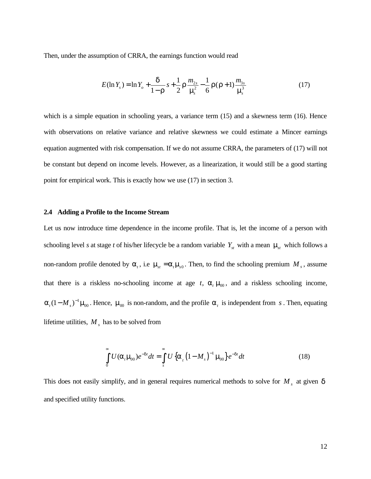Then, under the assumption of CRRA, the earnings function would read

$$
E(\ln Y_s) = \ln Y_o + \frac{d}{1 - r} s + \frac{1}{2} r \frac{m_{2s}}{m_s^2} - \frac{1}{6} r (r + 1) \frac{m_{3s}}{m_s^3}
$$
(17)

which is a simple equation in schooling years, a variance term (15) and a skewness term (16). Hence with observations on relative variance and relative skewness we could estimate a Mincer earnings equation augmented with risk compensation. If we do not assume CRRA, the parameters of (17) will not be constant but depend on income levels. However, as a linearization, it would still be a good starting point for empirical work. This is exactly how we use (17) in section 3.

#### **2.4 Adding a Profile to the Income Stream**

Let us now introduce time dependence in the income profile. That is, let the income of a person with schooling level *s* at stage *t* of his/her lifecycle be a random variable  $Y_{st}$  with a mean  $\mathbf{m}_s$  which follows a non-random profile denoted by  $a_t$ , i.e  $m_x = a_t m_s$ . Then, to find the schooling premium  $M_s$ , assume that there is a riskless no-schooling income at age  $t$ ,  $a_t$   $m_0$ , and a riskless schooling income,  $a_t$  (1 –  $M_s$ )<sup>-1</sup> $m_0$ . Hence,  $m_0$  is non-random, and the profile  $a_t$  is independent from *s*. Then, equating lifetime utilities,  $M<sub>s</sub>$  has to be solved from

$$
\int_{0}^{\infty} U(\mathbf{a}_{t}, \mathbf{m}_{0}) e^{-dt} dt = \int_{s}^{\infty} U\left\{ \mathbf{a}_{t} \left( 1 - M_{s} \right)^{-1} \mathbf{m}_{0} \right\} e^{-dt} dt \qquad (18)
$$

This does not easily simplify, and in general requires numerical methods to solve for *M <sup>s</sup>* at given *d* and specified utility functions.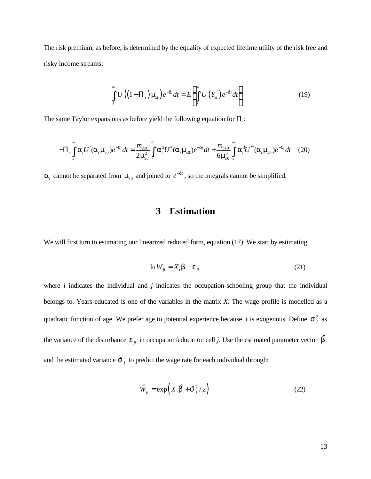The risk premium, as before, is determined by the equality of expected lifetime utility of the risk free and risky income streams:

$$
\int_{s}^{\infty} U\left(\left(1-\Pi_{s}\right)\mathbf{m}_{st}\right)e^{-dt}dt = E\left[\int_{s}^{\infty} U\left(Y_{st}\right)e^{-dt}dt\right]
$$
\n(19)

The same Taylor expansions as before yield the following equation for Π*s*:

$$
-\Pi_s \int_s^{\infty} \mathbf{a}_t U'(\mathbf{a}_t \mathbf{m}_{s0}) e^{-d t} dt = \frac{m_{2s0}}{2 \mathbf{m}_{s0}^2} \int_s^{\infty} \mathbf{a}_t^2 U''(\mathbf{a}_t \mathbf{m}_{s0}) e^{-d t} dt + \frac{m_{3s0}}{6 \mathbf{m}_{s0}^3} \int_s^{\infty} \mathbf{a}_t^3 U'''(\mathbf{a}_t \mathbf{m}_{s0}) e^{-d t} dt \quad (20)
$$

 $a_t$  cannot be separated from  $m_s$ <sup>0</sup> and joined to  $e^{-dt}$ , so the integrals cannot be simplified.

# **3 Estimation**

We will first turn to estimating our linearized reduced form, equation (17). We start by estimating

$$
\ln W_{ji} = X_i \mathbf{b} + \mathbf{e}_{ji} \tag{21}
$$

where *i* indicates the individual and *j* indicates the occupation-schooling group that the individual belongs to. Years educated is one of the variables in the matrix *X*. The wage profile is modelled as a quadratic function of age. We prefer age to potential experience because it is exogenous. Define  $s_j^2$  as the variance of the disturbance  $e_{ji}$  in occupation/education cell *j*. Use the estimated parameter vector  $\hat{b}$ and the estimated variance  $\hat{\mathbf{s}}^2_i$  to predict the wage rate for each individual through:

$$
\hat{W}_{ji} = \exp\left(X_i\hat{\boldsymbol{b}} + \hat{\boldsymbol{s}}_j^2/2\right)
$$
 (22)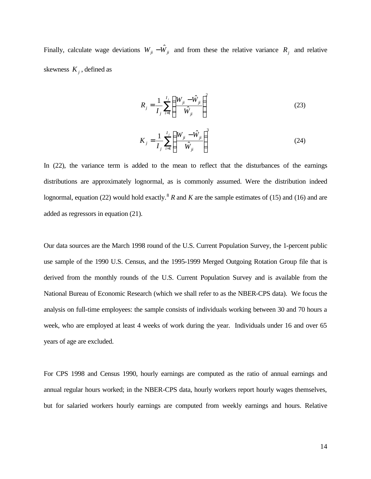Finally, calculate wage deviations  $W_{ji} - \hat{W}_{ji}$  and from these the relative variance  $R_j$  and relative skewness  $K_j$ , defined as

$$
R_{j} = \frac{1}{I_{j}} \sum_{i=1}^{I_{j}} \left( \frac{W_{ji} - \hat{W}_{ji}}{\hat{W}_{ji}} \right)^{2}
$$
 (23)

$$
K_{j} = \frac{1}{I_{j}} \sum_{i=1}^{I_{j}} \left( \frac{W_{ji} - \hat{W}_{ji}}{\hat{W}_{ji}} \right)^{3}
$$
 (24)

In (22), the variance term is added to the mean to reflect that the disturbances of the earnings distributions are approximately lognormal, as is commonly assumed. Were the distribution indeed lognormal, equation (22) would hold exactly.<sup>8</sup> *R* and *K* are the sample estimates of (15) and (16) and are added as regressors in equation (21).

Our data sources are the March 1998 round of the U.S. Current Population Survey, the 1-percent public use sample of the 1990 U.S. Census, and the 1995-1999 Merged Outgoing Rotation Group file that is derived from the monthly rounds of the U.S. Current Population Survey and is available from the National Bureau of Economic Research (which we shall refer to as the NBER-CPS data). We focus the analysis on full-time employees: the sample consists of individuals working between 30 and 70 hours a week, who are employed at least 4 weeks of work during the year. Individuals under 16 and over 65 years of age are excluded.

For CPS 1998 and Census 1990, hourly earnings are computed as the ratio of annual earnings and annual regular hours worked; in the NBER-CPS data, hourly workers report hourly wages themselves, but for salaried workers hourly earnings are computed from weekly earnings and hours. Relative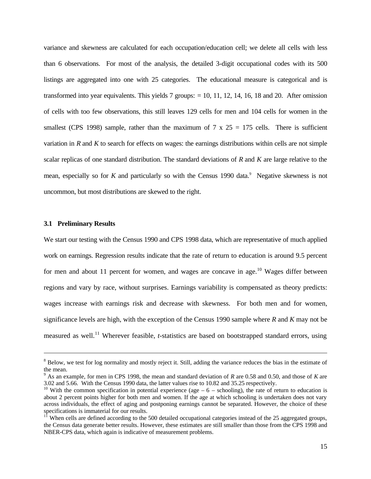variance and skewness are calculated for each occupation/education cell; we delete all cells with less than 6 observations. For most of the analysis, the detailed 3-digit occupational codes with its 500 listings are aggregated into one with 25 categories. The educational measure is categorical and is transformed into year equivalents. This yields 7 groups: = 10, 11, 12, 14, 16, 18 and 20. After omission of cells with too few observations, this still leaves 129 cells for men and 104 cells for women in the smallest (CPS 1998) sample, rather than the maximum of 7 x  $25 = 175$  cells. There is sufficient variation in *R* and *K* to search for effects on wages: the earnings distributions within cells are not simple scalar replicas of one standard distribution. The standard deviations of *R* and *K* are large relative to the mean, especially so for *K* and particularly so with the Census 1990 data.<sup>9</sup> Negative skewness is not uncommon, but most distributions are skewed to the right.

#### **3.1 Preliminary Results**

-

We start our testing with the Census 1990 and CPS 1998 data, which are representative of much applied work on earnings. Regression results indicate that the rate of return to education is around 9.5 percent for men and about 11 percent for women, and wages are concave in age.<sup>10</sup> Wages differ between regions and vary by race, without surprises. Earnings variability is compensated as theory predicts: wages increase with earnings risk and decrease with skewness. For both men and for women, significance levels are high, with the exception of the Census 1990 sample where *R* and *K* may not be measured as well.<sup>11</sup> Wherever feasible, *t*-statistics are based on bootstrapped standard errors, using

<sup>&</sup>lt;sup>8</sup> Below, we test for log normality and mostly reject it. Still, adding the variance reduces the bias in the estimate of the mean.

<sup>9</sup> As an example, for men in CPS 1998, the mean and standard deviation of *R* are 0.58 and 0.50, and those of *K* are 3.02 and 5.66. With the Census 1990 data, the latter values rise to 10.82 and 35.25 respectively.

<sup>&</sup>lt;sup>10</sup> With the common specification in potential experience (age  $-6$  – schooling), the rate of return to education is about 2 percent points higher for both men and women. If the age at which schooling is undertaken does not vary across individuals, the effect of aging and postponing earnings cannot be separated. However, the choice of these specifications is immaterial for our results.

 $11$ <sup>I</sup> When cells are defined according to the 500 detailed occupational categories instead of the 25 aggregated groups, the Census data generate better results. However, these estimates are still smaller than those from the CPS 1998 and NBER-CPS data, which again is indicative of measurement problems.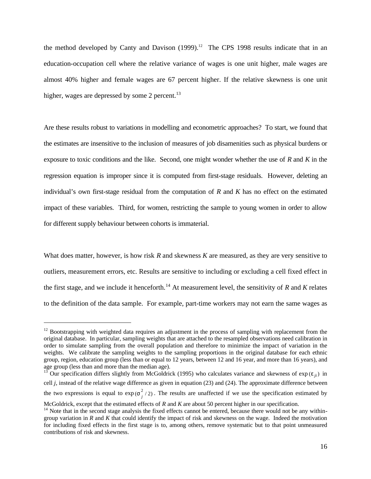the method developed by Canty and Davison  $(1999)$ .<sup>12</sup> The CPS 1998 results indicate that in an education-occupation cell where the relative variance of wages is one unit higher, male wages are almost 40% higher and female wages are 67 percent higher. If the relative skewness is one unit higher, wages are depressed by some 2 percent. $^{13}$ 

Are these results robust to variations in modelling and econometric approaches? To start, we found that the estimates are insensitive to the inclusion of measures of job disamenities such as physical burdens or exposure to toxic conditions and the like. Second, one might wonder whether the use of *R* and *K* in the regression equation is improper since it is computed from first-stage residuals. However, deleting an individual's own first-stage residual from the computation of *R* and *K* has no effect on the estimated impact of these variables. Third, for women, restricting the sample to young women in order to allow for different supply behaviour between cohorts is immaterial.

What does matter, however, is how risk *R* and skewness *K* are measured, as they are very sensitive to outliers, measurement errors, etc. Results are sensitive to including or excluding a cell fixed effect in the first stage, and we include it henceforth.<sup>14</sup> At measurement level, the sensitivity of  $R$  and  $K$  relates to the definition of the data sample. For example, part-time workers may not earn the same wages as

 $12$  Bootstrapping with weighted data requires an adjustment in the process of sampling with replacement from the original database. In particular, sampling weights that are attached to the resampled observations need calibration in order to simulate sampling from the overall population and therefore to minimize the impact of variation in the weights. We calibrate the sampling weights to the sampling proportions in the original database for each ethnic group, region, education group (less than or equal to 12 years, between 12 and 16 year, and more than 16 years), and age group (less than and more than the median age).

<sup>&</sup>lt;sup>13</sup> Our specification differs slightly from McGoldrick (1995) who calculates variance and skewness of  $\exp(e_{ii})$  in cell *j*, instead of the relative wage difference as given in equation (23) and (24). The approximate difference between the two expressions is equal to  $exp(s_j^2/2)$ . The results are unaffected if we use the specification estimated by

McGoldrick, except that the estimated effects of *R* and *K* are about 50 percent higher in our specification.

 $14$  Note that in the second stage analysis the fixed effects cannot be entered, because there would not be any withingroup variation in *R* and *K* that could identify the impact of risk and skewness on the wage. Indeed the motivation for including fixed effects in the first stage is to, among others, remove systematic but to that point unmeasured contributions of risk and skewness.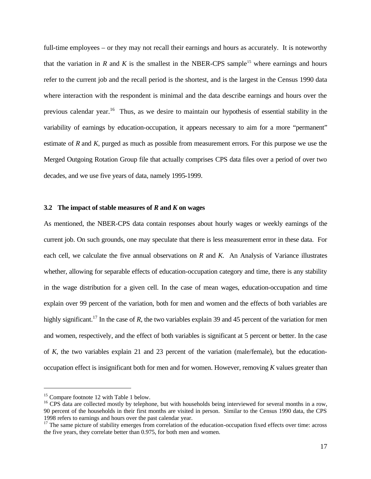full-time employees – or they may not recall their earnings and hours as accurately. It is noteworthy that the variation in *R* and *K* is the smallest in the NBER-CPS sample<sup>15</sup> where earnings and hours refer to the current job and the recall period is the shortest, and is the largest in the Census 1990 data where interaction with the respondent is minimal and the data describe earnings and hours over the previous calendar year.<sup>16</sup> Thus, as we desire to maintain our hypothesis of essential stability in the variability of earnings by education-occupation, it appears necessary to aim for a more "permanent" estimate of *R* and *K*, purged as much as possible from measurement errors. For this purpose we use the Merged Outgoing Rotation Group file that actually comprises CPS data files over a period of over two decades, and we use five years of data, namely 1995-1999.

#### **3.2 The impact of stable measures of** *R* **and** *K* **on wages**

As mentioned, the NBER-CPS data contain responses about hourly wages or weekly earnings of the current job. On such grounds, one may speculate that there is less measurement error in these data. For each cell, we calculate the five annual observations on *R* and *K*. An Analysis of Variance illustrates whether, allowing for separable effects of education-occupation category and time, there is any stability in the wage distribution for a given cell. In the case of mean wages, education-occupation and time explain over 99 percent of the variation, both for men and women and the effects of both variables are highly significant.<sup>17</sup> In the case of *R*, the two variables explain 39 and 45 percent of the variation for men and women, respectively, and the effect of both variables is significant at 5 percent or better. In the case of *K,* the two variables explain 21 and 23 percent of the variation (male/female), but the educationoccupation effect is insignificant both for men and for women. However, removing *K* values greater than

<sup>&</sup>lt;sup>15</sup> Compare footnote 12 with Table 1 below.

<sup>&</sup>lt;sup>16</sup> CPS data are collected mostly by telephone, but with households being interviewed for several months in a row, 90 percent of the households in their first months are visited in person. Similar to the Census 1990 data, the CPS 1998 refers to earnings and hours over the past calendar year.

 $17$  The same picture of stability emerges from correlation of the education-occupation fixed effects over time: across the five years, they correlate better than 0.975, for both men and women.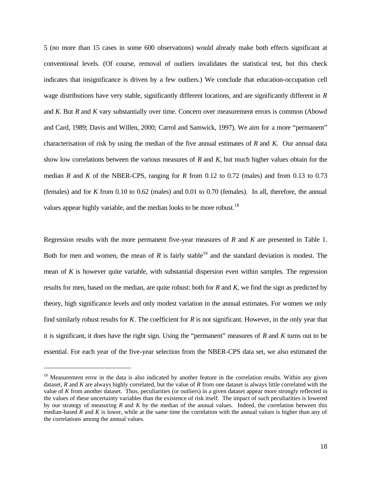5 (no more than 15 cases in some 600 observations) would already make both effects significant at conventional levels. (Of course, removal of outliers invalidates the statistical test, but this check indicates that insignificance is driven by a few outliers.) We conclude that education-occupation cell wage distributions have very stable, significantly different locations, and are significantly different in *R* and *K*. But *R* and *K* vary substantially over time. Concern over measurement errors is common (Abowd and Card, 1989; Davis and Willen, 2000; Carrol and Samwick, 1997). We aim for a more "permanent" characterisation of risk by using the median of the five annual estimates of *R* and *K.* Our annual data show low correlations between the various measures of *R* and *K*, but much higher values obtain for the median *R* and *K* of the NBER-CPS, ranging for *R* from 0.12 to 0.72 (males) and from 0.13 to 0.73 (females) and for *K* from 0.10 to 0.62 (males) and 0.01 to 0.70 (females). In all, therefore, the annual values appear highly variable, and the median looks to be more robust.<sup>18</sup>

Regression results with the more permanent five-year measures of *R* and *K* are presented in Table 1. Both for men and women, the mean of  $R$  is fairly stable<sup>19</sup> and the standard deviation is modest. The mean of  $K$  is however quite variable, with substantial dispersion even within samples. The regression results for men, based on the median, are quite robust: both for *R* and *K*, we find the sign as predicted by theory, high significance levels and only modest variation in the annual estimates. For women we only find similarly robust results for *K*. The coefficient for *R* is not significant. However, in the only year that it is significant, it does have the right sign. Using the "permanent" measures of *R* and *K* turns out to be essential. For each year of the five-year selection from the NBER-CPS data set, we also estimated the

<sup>&</sup>lt;sup>18</sup> Measurement error in the data is also indicated by another feature in the correlation results. Within any given dataset, *R* and *K* are always highly correlated, but the value of *R* from one dataset is always little correlated with the value of *K* from another dataset. Thus, peculiarities (or outliers) in a given dataset appear more strongly reflected in the values of these uncertainty variables than the existence of risk itself. The impact of such peculiarities is lowered by our strategy of measuring *R* and *K* by the median of the annual values. Indeed, the correlation between this median-based *R* and *K* is lower, while at the same time the correlation with the annual values is higher than any of the correlations among the annual values.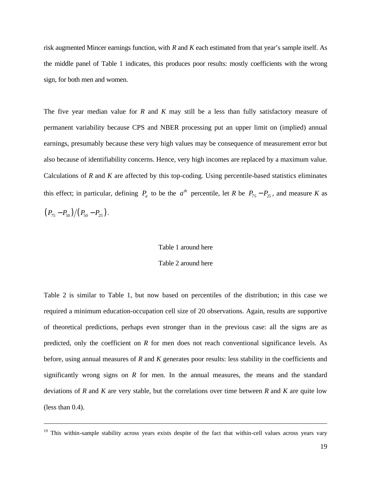risk augmented Mincer earnings function, with *R* and *K* each estimated from that year's sample itself. As the middle panel of Table 1 indicates, this produces poor results: mostly coefficients with the wrong sign, for both men and women.

The five year median value for *R* and *K* may still be a less than fully satisfactory measure of permanent variability because CPS and NBER processing put an upper limit on (implied) annual earnings, presumably because these very high values may be consequence of measurement error but also because of identifiability concerns. Hence, very high incomes are replaced by a maximum value. Calculations of *R* and *K* are affected by this top-coding. Using percentile-based statistics eliminates this effect; in particular, defining  $P_a$  to be the  $a^{th}$  percentile, let *R* be  $P_{75} - P_{25}$ , and measure *K* as  $(P_{75} - P_{50})/(P_{50} - P_{25}).$ 

#### Table 1 around here

#### Table 2 around here

Table 2 is similar to Table 1, but now based on percentiles of the distribution; in this case we required a minimum education-occupation cell size of 20 observations. Again, results are supportive of theoretical predictions, perhaps even stronger than in the previous case: all the signs are as predicted, only the coefficient on *R* for men does not reach conventional significance levels. As before, using annual measures of *R* and *K* generates poor results: less stability in the coefficients and significantly wrong signs on  $R$  for men. In the annual measures, the means and the standard deviations of *R* and *K* are very stable, but the correlations over time between *R* and *K* are quite low (less than 0.4).

<sup>&</sup>lt;sup>19</sup> This within-sample stability across years exists despite of the fact that within-cell values across years vary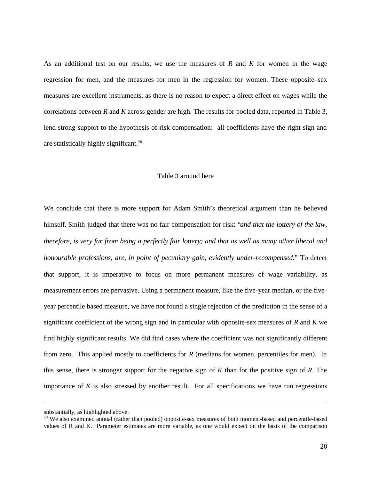As an additional test on our results, we use the measures of *R* and *K* for women in the wage regression for men, and the measures for men in the regression for women. These opposite–sex measures are excellent instruments, as there is no reason to expect a direct effect on wages while the correlations between *R* and *K* across gender are high. The results for pooled data, reported in Table 3, lend strong support to the hypothesis of risk compensation: all coefficients have the right sign and are statistically highly significant.<sup>20</sup>

### Table 3 around here

We conclude that there is more support for Adam Smith's theoretical argument than he believed himself. Smith judged that there was no fair compensation for risk: "*and that the lottery of the law, therefore, is very far from being a perfectly fair lottery; and that as well as many other liberal and honourable professions, are, in point of pecuniary gain, evidently under-recompensed*." To detect that support, it is imperative to focus on more permanent measures of wage variability, as measurement errors are pervasive. Using a permanent measure, like the five-year median, or the fiveyear percentile based measure, we have not found a single rejection of the prediction in the sense of a significant coefficient of the wrong sign and in particular with opposite-sex measures of *R* and *K* we find highly significant results. We did find cases where the coefficient was not significantly different from zero. This applied mostly to coefficients for *R* (medians for women, percentiles for men). In this sense, there is stronger support for the negative sign of *K* than for the positive sign of *R*. The importance of  $K$  is also stressed by another result. For all specifications we have run regressions

substantially, as highlighted above.

<sup>&</sup>lt;sup>20</sup> We also examined annual (rather than pooled) opposite-sex measures of both moment-based and percentile-based values of R and K. Parameter estimates are more variable, as one would expect on the basis of the comparison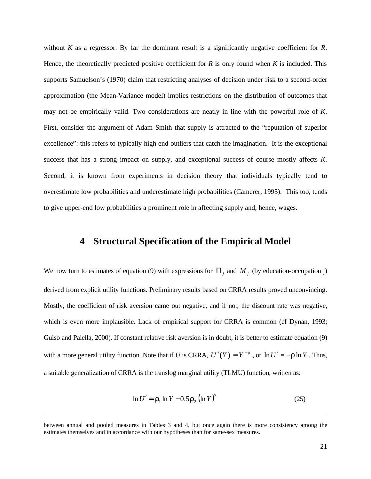without *K* as a regressor. By far the dominant result is a significantly negative coefficient for *R*. Hence, the theoretically predicted positive coefficient for *R* is only found when *K* is included. This supports Samuelson's (1970) claim that restricting analyses of decision under risk to a second-order approximation (the Mean-Variance model) implies restrictions on the distribution of outcomes that may not be empirically valid. Two considerations are neatly in line with the powerful role of *K*. First, consider the argument of Adam Smith that supply is attracted to the "reputation of superior excellence": this refers to typically high-end outliers that catch the imagination. It is the exceptional success that has a strong impact on supply, and exceptional success of course mostly affects *K*. Second, it is known from experiments in decision theory that individuals typically tend to overestimate low probabilities and underestimate high probabilities (Camerer, 1995). This too, tends to give upper-end low probabilities a prominent role in affecting supply and, hence, wages.

### **4 Structural Specification of the Empirical Model**

We now turn to estimates of equation (9) with expressions for  $\Pi_j$  and  $M_j$  (by education-occupation j) derived from explicit utility functions. Preliminary results based on CRRA results proved unconvincing. Mostly, the coefficient of risk aversion came out negative, and if not, the discount rate was negative, which is even more implausible. Lack of empirical support for CRRA is common (cf Dynan, 1993; Guiso and Paiella, 2000). If constant relative risk aversion is in doubt, it is better to estimate equation (9) with a more general utility function. Note that if *U* is CRRA,  $U'(Y) = Y^{-r}$ , or  $\ln U' = -r \ln Y$ . Thus, a suitable generalization of CRRA is the translog marginal utility (TLMU) function, written as:

$$
\ln U' = \mathbf{r}_1 \ln Y - 0.5 \mathbf{r}_2 \left( \ln Y \right)^2 \tag{25}
$$

between annual and pooled measures in Tables 3 and 4, but once again there is more consistency among the estimates themselves and in accordance with our hypotheses than for same-sex measures.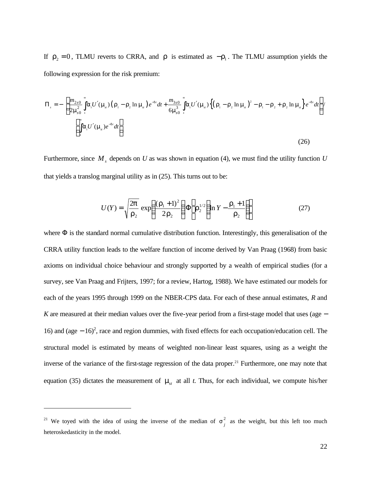If  $r_2 = 0$ , TLMU reverts to CRRA, and *r* is estimated as  $-r_1$ . The TLMU assumption yields the following expression for the risk premium:

$$
\Pi_{s} = -\left[\frac{m_{2s0}}{2m_{s0}^{2}}\int_{s}^{s} \mathbf{a}_{s}U'(\mathbf{m}_{s})\left(\mathbf{r}_{1} - \mathbf{r}_{2}\ln\mathbf{m}_{s}\right)e^{-dt}dt + \frac{m_{3s0}}{6m_{s0}^{3}}\int_{s}^{s} \mathbf{a}_{s}U'(\mathbf{m}_{s})\left\{\left(\mathbf{r}_{1} - \mathbf{r}_{2}\ln\mathbf{m}_{s}\right)^{2} - \mathbf{r}_{1} - \mathbf{r}_{2} + \mathbf{r}_{2}\ln\mathbf{m}_{s}\right\}e^{-dt}dt\right] / \left[\int_{s}^{s} \mathbf{a}_{s}U'(\mathbf{m}_{s})e^{-dt}dt\right]
$$
\n(26)

Furthermore, since *M<sup>s</sup>* depends on *U* as was shown in equation (4), we must find the utility function *U* that yields a translog marginal utility as in (25). This turns out to be:

$$
U(Y) = \sqrt{\frac{2p}{r_2}} \exp\left(\frac{(r_1+1)^2}{2r_2}\right) \Phi\left[r_2^{1/2}\left(\ln Y - \frac{r_1+1}{r_2}\right)\right]
$$
 (27)

where  $\Phi$  is the standard normal cumulative distribution function. Interestingly, this generalisation of the CRRA utility function leads to the welfare function of income derived by Van Praag (1968) from basic axioms on individual choice behaviour and strongly supported by a wealth of empirical studies (for a survey, see Van Praag and Frijters, 1997; for a review, Hartog, 1988). We have estimated our models for each of the years 1995 through 1999 on the NBER-CPS data. For each of these annual estimates, *R* and *K* are measured at their median values over the five-year period from a first-stage model that uses (age − 16) and (age − 16)<sup>2</sup> , race and region dummies, with fixed effects for each occupation/education cell. The structural model is estimated by means of weighted non-linear least squares, using as a weight the inverse of the variance of the first-stage regression of the data proper.<sup>21</sup> Furthermore, one may note that equation (35) dictates the measurement of  $m_t$  at all *t*. Thus, for each individual, we compute his/her

<sup>&</sup>lt;sup>21</sup> We toyed with the idea of using the inverse of the median of  $s_j^2$  as the weight, but this left too much heteroskedasticity in the model.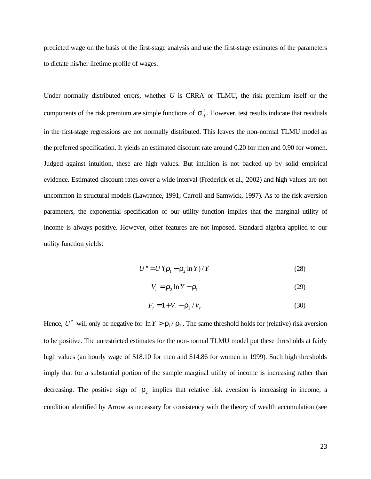predicted wage on the basis of the first-stage analysis and use the first-stage estimates of the parameters to dictate his/her lifetime profile of wages.

Under normally distributed errors, whether *U* is CRRA or TLMU, the risk premium itself or the components of the risk premium are simple functions of  $s_j^2$ . However, test results indicate that residuals in the first-stage regressions are not normally distributed. This leaves the non-normal TLMU model as the preferred specification. It yields an estimated discount rate around 0.20 for men and 0.90 for women. Judged against intuition, these are high values. But intuition is not backed up by solid empirical evidence. Estimated discount rates cover a wide interval (Frederick et al., 2002) and high values are not uncommon in structural models (Lawrance, 1991; Carroll and Samwick, 1997). As to the risk aversion parameters, the exponential specification of our utility function implies that the marginal utility of income is always positive. However, other features are not imposed. Standard algebra applied to our utility function yields:

$$
U'' = U'(\mathbf{r}_1 - \mathbf{r}_2 \ln Y) / Y \tag{28}
$$

$$
V_r = \mathbf{r}_2 \ln Y - \mathbf{r}_1 \tag{29}
$$

$$
F_r = 1 + V_r - \mathbf{r}_2 / V_r \tag{30}
$$

Hence, U'' will only be negative for  $\ln Y > r_1 / r_2$ . The same threshold holds for (relative) risk aversion to be positive. The unrestricted estimates for the non-normal TLMU model put these thresholds at fairly high values (an hourly wage of \$18.10 for men and \$14.86 for women in 1999). Such high thresholds imply that for a substantial portion of the sample marginal utility of income is increasing rather than decreasing. The positive sign of  $r_2$  implies that relative risk aversion is increasing in income, a condition identified by Arrow as necessary for consistency with the theory of wealth accumulation (see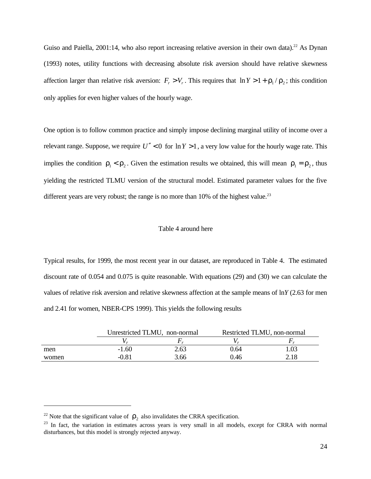Guiso and Paiella, 2001:14, who also report increasing relative aversion in their own data).<sup>22</sup> As Dynan (1993) notes, utility functions with decreasing absolute risk aversion should have relative skewness affection larger than relative risk aversion:  $F_r > V_r$ . This requires that  $\ln Y > 1 + r_1 / r_2$ ; this condition only applies for even higher values of the hourly wage.

One option is to follow common practice and simply impose declining marginal utility of income over a relevant range. Suppose, we require  $U'' < 0$  for  $\ln Y > 1$ , a very low value for the hourly wage rate. This implies the condition  $r_1 < r_2$ . Given the estimation results we obtained, this will mean  $r_1 = r_2$ , thus yielding the restricted TLMU version of the structural model. Estimated parameter values for the five different years are very robust; the range is no more than  $10\%$  of the highest value.<sup>23</sup>

#### Table 4 around here

Typical results, for 1999, the most recent year in our dataset, are reproduced in Table 4. The estimated discount rate of 0.054 and 0.075 is quite reasonable. With equations (29) and (30) we can calculate the values of relative risk aversion and relative skewness affection at the sample means of ln*Y* (2.63 for men and 2.41 for women, NBER-CPS 1999). This yields the following results

|       |         | Unrestricted TLMU, non-normal | Restricted TLMU, non-normal |      |  |  |
|-------|---------|-------------------------------|-----------------------------|------|--|--|
|       |         |                               |                             |      |  |  |
| men   | $-1.60$ | 2.63                          | 0.64                        | l.03 |  |  |
| women | $-0.81$ | 3.66                          | 0.46                        | 2.18 |  |  |

<sup>&</sup>lt;sup>22</sup> Note that the significant value of  $r_2$  also invalidates the CRRA specification.

<sup>&</sup>lt;sup>23</sup> In fact, the variation in estimates across years is very small in all models, except for CRRA with normal disturbances, but this model is strongly rejected anyway.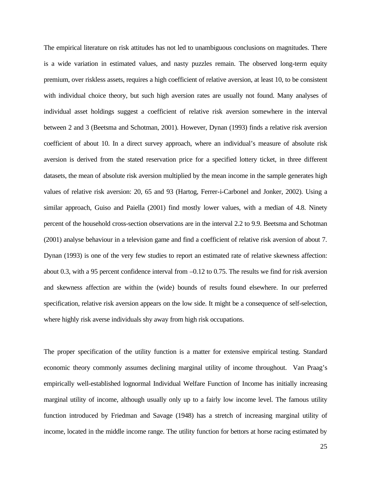The empirical literature on risk attitudes has not led to unambiguous conclusions on magnitudes. There is a wide variation in estimated values, and nasty puzzles remain. The observed long-term equity premium, over riskless assets, requires a high coefficient of relative aversion, at least 10, to be consistent with individual choice theory, but such high aversion rates are usually not found. Many analyses of individual asset holdings suggest a coefficient of relative risk aversion somewhere in the interval between 2 and 3 (Beetsma and Schotman, 2001). However, Dynan (1993) finds a relative risk aversion coefficient of about 10. In a direct survey approach, where an individual's measure of absolute risk aversion is derived from the stated reservation price for a specified lottery ticket, in three different datasets, the mean of absolute risk aversion multiplied by the mean income in the sample generates high values of relative risk aversion: 20, 65 and 93 (Hartog, Ferrer-i-Carbonel and Jonker, 2002). Using a similar approach, Guiso and Paiella (2001) find mostly lower values, with a median of 4.8. Ninety percent of the household cross-section observations are in the interval 2.2 to 9.9. Beetsma and Schotman (2001) analyse behaviour in a television game and find a coefficient of relative risk aversion of about 7. Dynan (1993) is one of the very few studies to report an estimated rate of relative skewness affection: about 0.3, with a 95 percent confidence interval from –0.12 to 0.75. The results we find for risk aversion and skewness affection are within the (wide) bounds of results found elsewhere. In our preferred specification, relative risk aversion appears on the low side. It might be a consequence of self-selection, where highly risk averse individuals shy away from high risk occupations.

The proper specification of the utility function is a matter for extensive empirical testing. Standard economic theory commonly assumes declining marginal utility of income throughout. Van Praag's empirically well-established lognormal Individual Welfare Function of Income has initially increasing marginal utility of income, although usually only up to a fairly low income level. The famous utility function introduced by Friedman and Savage (1948) has a stretch of increasing marginal utility of income, located in the middle income range. The utility function for bettors at horse racing estimated by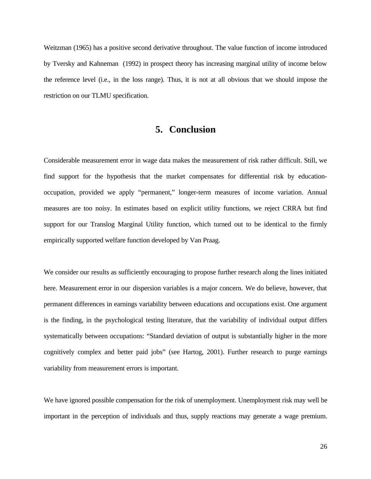Weitzman (1965) has a positive second derivative throughout. The value function of income introduced by Tversky and Kahneman (1992) in prospect theory has increasing marginal utility of income below the reference level (i.e., in the loss range). Thus, it is not at all obvious that we should impose the restriction on our TLMU specification.

# **5. Conclusion**

Considerable measurement error in wage data makes the measurement of risk rather difficult. Still, we find support for the hypothesis that the market compensates for differential risk by educationoccupation, provided we apply "permanent," longer-term measures of income variation. Annual measures are too noisy. In estimates based on explicit utility functions, we reject CRRA but find support for our Translog Marginal Utility function, which turned out to be identical to the firmly empirically supported welfare function developed by Van Praag.

We consider our results as sufficiently encouraging to propose further research along the lines initiated here. Measurement error in our dispersion variables is a major concern. We do believe, however, that permanent differences in earnings variability between educations and occupations exist. One argument is the finding, in the psychological testing literature, that the variability of individual output differs systematically between occupations: "Standard deviation of output is substantially higher in the more cognitively complex and better paid jobs" (see Hartog, 2001). Further research to purge earnings variability from measurement errors is important.

We have ignored possible compensation for the risk of unemployment. Unemployment risk may well be important in the perception of individuals and thus, supply reactions may generate a wage premium.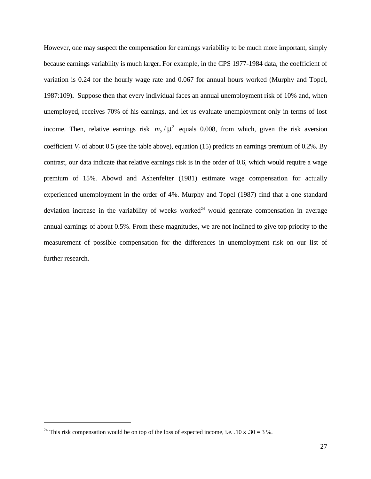However, one may suspect the compensation for earnings variability to be much more important, simply because earnings variability is much larger**.** For example, in the CPS 1977-1984 data, the coefficient of variation is 0.24 for the hourly wage rate and 0.067 for annual hours worked (Murphy and Topel, 1987:109)**.** Suppose then that every individual faces an annual unemployment risk of 10% and, when unemployed, receives 70% of his earnings, and let us evaluate unemployment only in terms of lost income. Then, relative earnings risk  $m_2 / m^2$  equals 0.008, from which, given the risk aversion coefficient  $V_r$  of about 0.5 (see the table above), equation (15) predicts an earnings premium of 0.2%. By contrast, our data indicate that relative earnings risk is in the order of 0.6, which would require a wage premium of 15%. Abowd and Ashenfelter (1981) estimate wage compensation for actually experienced unemployment in the order of 4%. Murphy and Topel (1987) find that a one standard deviation increase in the variability of weeks worked<sup>24</sup> would generate compensation in average annual earnings of about 0.5%. From these magnitudes, we are not inclined to give top priority to the measurement of possible compensation for the differences in unemployment risk on our list of further research.

<sup>&</sup>lt;sup>24</sup> This risk compensation would be on top of the loss of expected income, i.e.  $.10 \times .30 = 3 \%$ .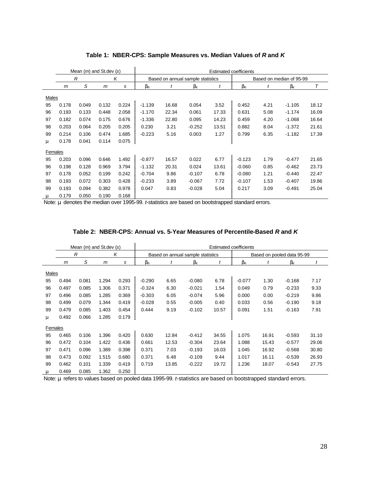|              | Mean $(m)$ and St.dev $(s)$ |       |                                   |       | <b>Estimated coefficients</b> |       |                          |       |                       |      |                       |       |  |
|--------------|-----------------------------|-------|-----------------------------------|-------|-------------------------------|-------|--------------------------|-------|-----------------------|------|-----------------------|-------|--|
|              | $\mathcal{R}$<br>K          |       | Based on annual sample statistics |       |                               |       | Based on median of 95-99 |       |                       |      |                       |       |  |
|              | m                           | S     | m                                 | s     | $b_{R}$                       | t     | $\bm{b}_{\mathsf{K}}$    | t     | $\bm{b}_{\mathsf{R}}$ | t    | $\bm{b}_{\mathsf{K}}$ | Τ     |  |
| Males        |                             |       |                                   |       |                               |       |                          |       |                       |      |                       |       |  |
| 95           | 0.178                       | 0.049 | 0.132                             | 0.224 | $-1.139$                      | 16.68 | 0.054                    | 3.52  | 0.452                 | 4.21 | $-1.105$              | 18.12 |  |
| 96           | 0.193                       | 0.133 | 0.448                             | 2.058 | $-1.170$                      | 22.34 | 0.061                    | 17.33 | 0.631                 | 5.08 | $-1.174$              | 16.09 |  |
| 97           | 0.182                       | 0.074 | 0.175                             | 0.676 | $-1.336$                      | 22.80 | 0.095                    | 14.23 | 0.459                 | 4.20 | $-1.068$              | 16.64 |  |
| 98           | 0.203                       | 0.064 | 0.205                             | 0.205 | 0.230                         | 3.21  | $-0.252$                 | 13.51 | 0.882                 | 8.04 | $-1.372$              | 21.61 |  |
| 99           | 0.214                       | 0.106 | 0.474                             | 1.685 | $-0.223$                      | 5.16  | 0.003                    | 1.27  | 0.799                 | 6.35 | $-1.182$              | 17.39 |  |
| m            | 0.178                       | 0.041 | 0.114                             | 0.075 |                               |       |                          |       |                       |      |                       |       |  |
| Females      |                             |       |                                   |       |                               |       |                          |       |                       |      |                       |       |  |
| 95           | 0.203                       | 0.096 | 0.646                             | 1.492 | $-0.877$                      | 16.57 | 0.022                    | 6.77  | $-0.123$              | 1.79 | $-0.477$              | 21.65 |  |
| 96           | 0.198                       | 0.128 | 0.969                             | 3.794 | $-1.132$                      | 20.31 | 0.024                    | 13.61 | $-0.060$              | 0.85 | $-0.462$              | 23.73 |  |
| 97           | 0.178                       | 0.052 | 0.199                             | 0.242 | $-0.704$                      | 9.86  | $-0.107$                 | 6.78  | $-0.080$              | 1.21 | $-0.440$              | 22.47 |  |
| 98           | 0.193                       | 0.072 | 0.303                             | 0.428 | $-0.233$                      | 3.89  | $-0.067$                 | 7.72  | $-0.107$              | 1.53 | $-0.407$              | 19.86 |  |
| 99           | 0.193                       | 0.094 | 0.382                             | 0.978 | 0.047                         | 0.83  | $-0.028$                 | 5.04  | 0.217                 | 3.09 | $-0.491$              | 25.04 |  |
| $\mathbf{m}$ | 0.179                       | 0.050 | 0.190                             | 0.168 |                               |       |                          |       |                       |      |                       |       |  |

### **Table 1: NBER-CPS: Sample Measures vs. Median Values of** *R* **and** *K*

Note: *m* denotes the median over 1995-99. *t*-statistics are based on bootstrapped standard errors.

|              | Mean $(m)$ and St.dev $(s)$ |       |       |                                   | <b>Estimated coefficients</b> |       |                  |                            |                       |       |                           |       |  |
|--------------|-----------------------------|-------|-------|-----------------------------------|-------------------------------|-------|------------------|----------------------------|-----------------------|-------|---------------------------|-------|--|
|              | K<br>R                      |       |       | Based on annual sample statistics |                               |       |                  | Based on pooled data 95-99 |                       |       |                           |       |  |
|              | m                           | S     | m     | s                                 | $\bm{b}_{\mathsf{R}}$         |       | $b_{\mathsf{K}}$ | t                          | $\bm{b}_{\mathsf{R}}$ |       | $\mathbf{b}_{\mathsf{K}}$ | t     |  |
| Males        |                             |       |       |                                   |                               |       |                  |                            |                       |       |                           |       |  |
| 95           | 0.494                       | 0.081 | 1.294 | 0.293                             | $-0.290$                      | 6.65  | $-0.080$         | 6.78                       | $-0.077$              | 1.30  | $-0.168$                  | 7.17  |  |
| 96           | 0.497                       | 0.085 | 1.306 | 0.371                             | $-0.324$                      | 6.30  | $-0.021$         | 1.54                       | 0.049                 | 0.79  | $-0.233$                  | 9.33  |  |
| 97           | 0.496                       | 0.085 | 1.285 | 0.369                             | $-0.303$                      | 6.05  | $-0.074$         | 5.96                       | 0.000                 | 0.00  | $-0.219$                  | 9.86  |  |
| 98           | 0.499                       | 0.079 | 1.344 | 0.419                             | $-0.028$                      | 0.55  | $-0.005$         | 0.40                       | 0.033                 | 0.56  | $-0.190$                  | 9.18  |  |
| 99           | 0.479                       | 0.085 | 1.403 | 0.454                             | 0.444                         | 9.19  | $-0.102$         | 10.57                      | 0.091                 | 1.51  | $-0.163$                  | 7.91  |  |
| $\mathbf{m}$ | 0.492                       | 0.066 | 1.285 | 0.179                             |                               |       |                  |                            |                       |       |                           |       |  |
| Females      |                             |       |       |                                   |                               |       |                  |                            |                       |       |                           |       |  |
| 95           | 0.465                       | 0.106 | 1.396 | 0.420                             | 0.630                         | 12.84 | $-0.412$         | 34.55                      | 1.075                 | 16.91 | $-0.593$                  | 31.10 |  |
| 96           | 0.472                       | 0.104 | 1.422 | 0.436                             | 0.661                         | 12.53 | $-0.304$         | 23.64                      | 1.088                 | 15.43 | $-0.577$                  | 29.06 |  |
| 97           | 0.471                       | 0.096 | 1.389 | 0.398                             | 0.371                         | 7.03  | $-0.193$         | 16.03                      | 1.045                 | 16.92 | $-0.568$                  | 30.80 |  |
| 98           | 0.473                       | 0.092 | 1.515 | 0.680                             | 0.371                         | 6.48  | $-0.109$         | 9.44                       | 1.017                 | 16.11 | $-0.539$                  | 26.93 |  |
| 99           | 0.462                       | 0.101 | 1.339 | 0.419                             | 0.719                         | 13.85 | $-0.222$         | 19.72                      | 1.236                 | 18.07 | $-0.543$                  | 27.75 |  |
| $\mathbf{m}$ | 0.469                       | 0.085 | 1.362 | 0.250                             |                               |       |                  |                            |                       |       |                           |       |  |

#### **Table 2: NBER-CPS: Annual vs. 5-Year Measures of Percentile-Based** *R* **and** *K*

Note: *m* refers to values based on pooled data 1995-99. *t*-statistics are based on bootstrapped standard errors.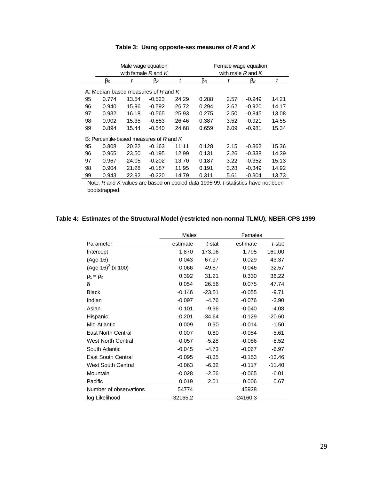|                                     |                                           |       | Male wage equation<br>with female $R$ and $K$ |       | Female wage equation<br>with male $R$ and $K$ |      |                       |       |  |
|-------------------------------------|-------------------------------------------|-------|-----------------------------------------------|-------|-----------------------------------------------|------|-----------------------|-------|--|
|                                     | $b_{R}$                                   | t     | $\mathbf{b}_{\mathsf{K}}$                     | t     | $b_{R}$                                       | t    | $\bm{b}_{\mathsf{K}}$ | t     |  |
| A: Median-based measures of R and K |                                           |       |                                               |       |                                               |      |                       |       |  |
| 95                                  | 0.774                                     | 13.54 | $-0.523$                                      | 24.29 | 0.288                                         | 2.57 | $-0.949$              | 14.21 |  |
| 96                                  | 0.940                                     | 15.96 | $-0.592$                                      | 26.72 | 0.294                                         | 2.62 | $-0.920$              | 14.17 |  |
| 97                                  | 0.932                                     | 16.18 | $-0.565$                                      | 25.93 | 0.275                                         | 2.50 | $-0.845$              | 13.08 |  |
| 98                                  | 0.902                                     | 15.35 | $-0.553$                                      | 26.46 | 0.387                                         | 3.52 | $-0.921$              | 14.55 |  |
| 99                                  | 0.894                                     | 15.44 | $-0.540$                                      | 24.68 | 0.659                                         | 6.09 | $-0.981$              | 15.34 |  |
|                                     | B: Percentile-based measures of R and $K$ |       |                                               |       |                                               |      |                       |       |  |
| 95                                  | 0.808                                     | 20.22 | $-0.163$                                      | 11.11 | 0.128                                         | 2.15 | $-0.362$              | 15.36 |  |
| 96                                  | 0.965                                     | 23.50 | $-0.195$                                      | 12.99 | 0.131                                         | 2.26 | $-0.338$              | 14.39 |  |
| 97                                  | 0.967                                     | 24.05 | $-0.202$                                      | 13.70 | 0.187                                         | 3.22 | $-0.352$              | 15.13 |  |
| 98                                  | 0.904                                     | 21.28 | $-0.187$                                      | 11.95 | 0.191                                         | 3.28 | $-0.349$              | 14.92 |  |
| 99                                  | 0.943                                     | 22.92 | $-0.220$                                      | 14.79 | 0.311                                         | 5.61 | $-0.304$              | 13.73 |  |

### **Table 3: Using opposite-sex measures of** *R* **and** *K*

Note: *R* and *K* values are based on pooled data 1995-99. *t*-statistics have not been bootstrapped.

### **Table 4: Estimates of the Structural Model (restricted non-normal TLMU), NBER-CPS 1999**

|                           | Males      |          | Females    |          |
|---------------------------|------------|----------|------------|----------|
| Parameter                 | estimate   | t-stat   | estimate   | t-stat   |
| Intercept                 | 1.870      | 173.06   | 1.795      | 160.00   |
| (Age-16)                  | 0.043      | 67.97    | 0.029      | 43.37    |
| $(Age-16)^2$ (x 100)      | $-0.066$   | $-49.87$ | $-0.046$   | $-32.57$ |
| $r_1 = r_2$               | 0.392      | 31.21    | 0.330      | 36.22    |
| d                         | 0.054      | 26.56    | 0.075      | 47.74    |
| <b>Black</b>              | $-0.146$   | $-23.51$ | $-0.055$   | $-9.71$  |
| Indian                    | $-0.097$   | $-4.76$  | $-0.076$   | $-3.90$  |
| Asian                     | $-0.101$   | $-9.96$  | $-0.040$   | $-4.08$  |
| Hispanic                  | $-0.201$   | $-34.64$ | $-0.129$   | $-20.60$ |
| Mid Atlantic              | 0.009      | 0.90     | $-0.014$   | $-1.50$  |
| <b>East North Central</b> | 0.007      | 0.80     | $-0.054$   | $-5.61$  |
| <b>West North Central</b> | $-0.057$   | $-5.28$  | $-0.086$   | $-8.52$  |
| South Atlantic            | $-0.045$   | $-4.73$  | $-0.067$   | $-6.97$  |
| <b>East South Central</b> | $-0.095$   | $-8.35$  | $-0.153$   | -13.46   |
| <b>West South Central</b> | $-0.063$   | $-6.32$  | $-0.117$   | $-11.40$ |
| Mountain                  | $-0.028$   | $-2.56$  | $-0.065$   | $-6.01$  |
| Pacific                   | 0.019      | 2.01     | 0.006      | 0.67     |
| Number of observations    | 54774      |          | 45928      |          |
| log Likelihood            | $-32165.2$ |          | $-24160.3$ |          |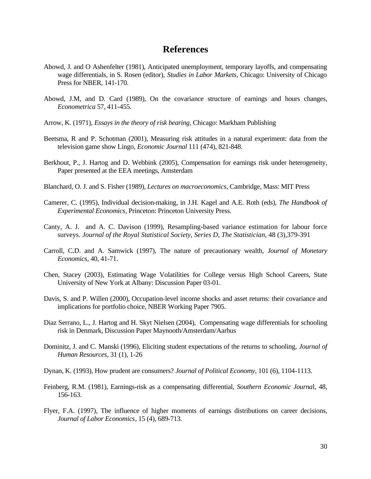### **References**

- Abowd, J. and O Ashenfelter (1981), Anticipated unemployment, temporary layoffs, and compensating wage differentials, in S. Rosen (editor), *Studies in Labor Markets*, Chicago: University of Chicago Press for NBER, 141-170.
- Abowd, J.M, and D. Card (1989), On the covariance structure of earnings and hours changes, *Econometrica* 57, 411-455.
- Arrow, K. (1971), *Essays in the theory of risk bearing*, Chicago: Markham Publishing
- Beetsma, R and P. Schotman (2001), Measuring risk attitudes in a natural experiment: data from the television game show Lingo, *Economic Journal* 111 (474), 821-848.
- Berkhout, P., J. Hartog and D. Webbink (2005), Compensation for earnings risk under heterogeneity, Paper presented at the EEA meetings, Amsterdam
- Blanchard, O. J. and S. Fisher (1989), *Lectures on macroeconomics*, Cambridge, Mass: MIT Press
- Camerer, C. (1995), Individual decision-making, in J.H. Kagel and A.E. Roth (eds), *The Handbook of Experimental Economics*, Princeton: Princeton University Press.
- Canty, A. J. and A. C. Davison (1999), Resampling-based variance estimation for labour force surveys. *Journal of the Royal Statistical Society, Series D, The Statistician,* 48 (3),379-391
- Carroll, C.D. and A. Samwick (1997), The nature of precautionary wealth, *Journal of Monetary Economics*, 40, 41-71.
- Chen, Stacey (2003), Estimating Wage Volatilities for College versus High School Careers, State University of New York at Albany: Discussion Paper 03-01.
- Davis, S. and P. Willen (2000), Occupation-level income shocks and asset returns: their covariance and implications for portfolio choice, NBER Working Paper 7905.
- Diaz Serrano, L., J. Hartog and H. Skyt Nielsen (2004), Compensating wage differentials for schooling risk in Denmark, Discussion Paper Maynooth/Amsterdam/Aarhus
- Dominitz, J. and C. Manski (1996), Eliciting student expectations of the returns to schooling, *Journal of Human Resources*, 31 (1), 1-26
- Dynan, K. (1993), How prudent are consumers? *Journal of Political Economy,* 101 (6), 1104-1113.
- Feinberg, R.M. (1981), Earnings-risk as a compensating differential, *Southern Economic Journa*l, 48, 156-163.
- Flyer, F.A. (1997), The influence of higher moments of earnings distributions on career decisions, *Journal of Labor Economics*, 15 (4), 689-713.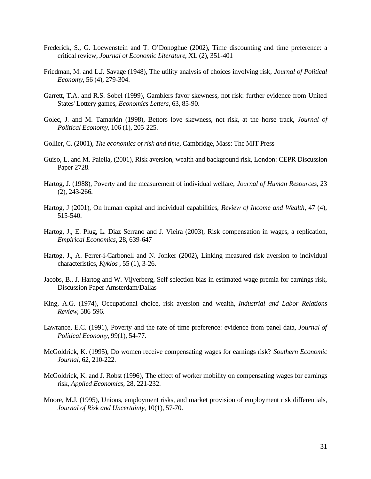- Frederick, S., G. Loewenstein and T. O'Donoghue (2002), Time discounting and time preference: a critical review, *Journal of Economic Literature*, XL (2), 351-401
- Friedman, M. and L.J. Savage (1948), The utility analysis of choices involving risk, *Journal of Political Economy*, 56 (4), 279-304.
- Garrett, T.A. and R.S. Sobel (1999), Gamblers favor skewness, not risk: further evidence from United States' Lottery games, *Economics Letters*, 63, 85-90.
- Golec, J. and M. Tamarkin (1998), Bettors love skewness, not risk, at the horse track, *Journal of Political Economy*, 106 (1), 205-225.
- Gollier, C. (2001), *The economics of risk and time*, Cambridge, Mass: The MIT Press
- Guiso, L. and M. Paiella, (2001), Risk aversion, wealth and background risk, London: CEPR Discussion Paper 2728.
- Hartog, J. (1988), Poverty and the measurement of individual welfare, *Journal of Human Resources*, 23 (2), 243-266.
- Hartog, J (2001), On human capital and individual capabilities, *Review of Income and Wealth*, 47 (4), 515-540.
- Hartog, J., E. Plug, L. Diaz Serrano and J. Vieira (2003), Risk compensation in wages, a replication, *Empirical Economics*, 28, 639-647
- Hartog, J., A. Ferrer-i-Carbonell and N. Jonker (2002), Linking measured risk aversion to individual characteristics, *Kyklos* , 55 (1), 3-26.
- Jacobs, B., J. Hartog and W. Vijverberg, Self-selection bias in estimated wage premia for earnings risk, Discussion Paper Amsterdam/Dallas
- King, A.G. (1974), Occupational choice, risk aversion and wealth, *Industrial and Labor Relations Review*, 586-596.
- Lawrance, E.C. (1991), Poverty and the rate of time preference: evidence from panel data, *Journal of Political Economy*, 99(1), 54-77.
- McGoldrick, K. (1995), Do women receive compensating wages for earnings risk? *Southern Economic Journal*, 62, 210-222.
- McGoldrick, K. and J. Robst (1996), The effect of worker mobility on compensating wages for earnings risk, *Applied Economics*, 28, 221-232.
- Moore, M.J. (1995), Unions, employment risks, and market provision of employment risk differentials, *Journal of Risk and Uncertainty*, 10(1), 57-70.